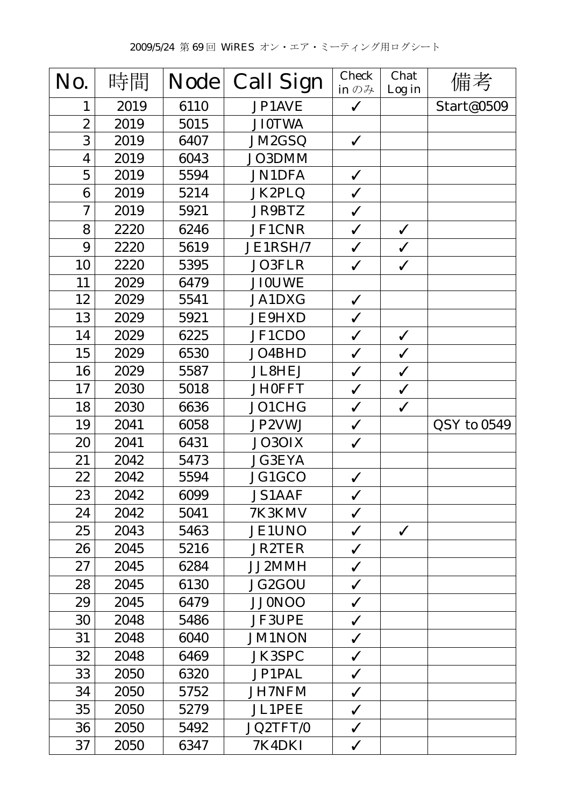| No.                     | 時間   | <b>Node</b> | <b>Call Sign</b> | <b>Check</b><br>in $\mathcal{D}$ $\mathcal{H}$ | Chat         | 備考          |
|-------------------------|------|-------------|------------------|------------------------------------------------|--------------|-------------|
| $\mathbf{1}$            | 2019 | 6110        | JP1AVE           | $\checkmark$                                   | Log in       | Start@0509  |
| $\boldsymbol{2}$        | 2019 | 5015        | <b>JI0TWA</b>    |                                                |              |             |
| 3                       | 2019 | 6407        | JM2GSQ           | $\checkmark$                                   |              |             |
| $\overline{\mathbf{4}}$ | 2019 | 6043        | JO3DMM           |                                                |              |             |
| $\overline{5}$          | 2019 | 5594        | <b>JN1DFA</b>    | $\checkmark$                                   |              |             |
| 6                       | 2019 | 5214        | JK2PLQ           | $\checkmark$                                   |              |             |
| $\boldsymbol{7}$        | 2019 | 5921        | JR9BTZ           | $\checkmark$                                   |              |             |
| 8                       | 2220 | 6246        | <b>JF1CNR</b>    | $\checkmark$                                   | $\checkmark$ |             |
| 9                       | 2220 | 5619        | JE1RSH/7         | $\checkmark$                                   | $\checkmark$ |             |
| 10                      | 2220 | 5395        | JO3FLR           | $\checkmark$                                   | $\checkmark$ |             |
| 11                      | 2029 | 6479        | <b>JI0UWE</b>    |                                                |              |             |
| 12                      | 2029 | 5541        | <b>JA1DXG</b>    | $\checkmark$                                   |              |             |
| 13                      | 2029 | 5921        | <b>JE9HXD</b>    | $\checkmark$                                   |              |             |
| 14                      | 2029 | 6225        | JF1CDO           | $\checkmark$                                   | $\checkmark$ |             |
| 15                      | 2029 | 6530        | JO4BHD           | $\checkmark$                                   | $\checkmark$ |             |
| 16                      | 2029 | 5587        | <b>JL8HEJ</b>    | $\checkmark$                                   | $\checkmark$ |             |
| 17                      | 2030 | 5018        | <b>JH0FFT</b>    | $\checkmark$                                   | $\checkmark$ |             |
| 18                      | 2030 | 6636        | JO1CHG           | $\checkmark$                                   | $\checkmark$ |             |
| 19                      | 2041 | 6058        | JP2VWJ           | $\checkmark$                                   |              | QSY to 0549 |
| 20                      | 2041 | 6431        | JO3OIX           | $\checkmark$                                   |              |             |
| 21                      | 2042 | 5473        | <b>JG3EYA</b>    |                                                |              |             |
| 22                      | 2042 | 5594        | JG1GCO           | $\checkmark$                                   |              |             |
| 23                      | 2042 | 6099        | <b>JS1AAF</b>    | $\checkmark$                                   |              |             |
| 24                      | 2042 | 5041        | 7K3KMV           | $\checkmark$                                   |              |             |
| 25                      | 2043 | 5463        | <b>JE1UNO</b>    | $\checkmark$                                   | $\checkmark$ |             |
| 26                      | 2045 | 5216        | <b>JR2TER</b>    | $\checkmark$                                   |              |             |
| 27                      | 2045 | 6284        | JJ2MMH           | $\checkmark$                                   |              |             |
| 28                      | 2045 | 6130        | JG2GOU           | $\checkmark$                                   |              |             |
| 29                      | 2045 | 6479        | <b>JJ0NOO</b>    | $\checkmark$                                   |              |             |
| 30                      | 2048 | 5486        | <b>JF3UPE</b>    | $\checkmark$                                   |              |             |
| 31                      | 2048 | 6040        | <b>JM1NON</b>    | $\checkmark$                                   |              |             |
| 32                      | 2048 | 6469        | <b>JK3SPC</b>    | $\checkmark$                                   |              |             |
| 33                      | 2050 | 6320        | <b>JP1PAL</b>    | $\checkmark$                                   |              |             |
| 34                      | 2050 | 5752        | <b>JH7NFM</b>    | $\checkmark$                                   |              |             |
| 35                      | 2050 | 5279        | <b>JL1PEE</b>    | $\checkmark$                                   |              |             |
| 36                      | 2050 | 5492        | JQ2TFT/0         | $\checkmark$                                   |              |             |
| 37                      | 2050 | 6347        | 7K4DKI           | $\checkmark$                                   |              |             |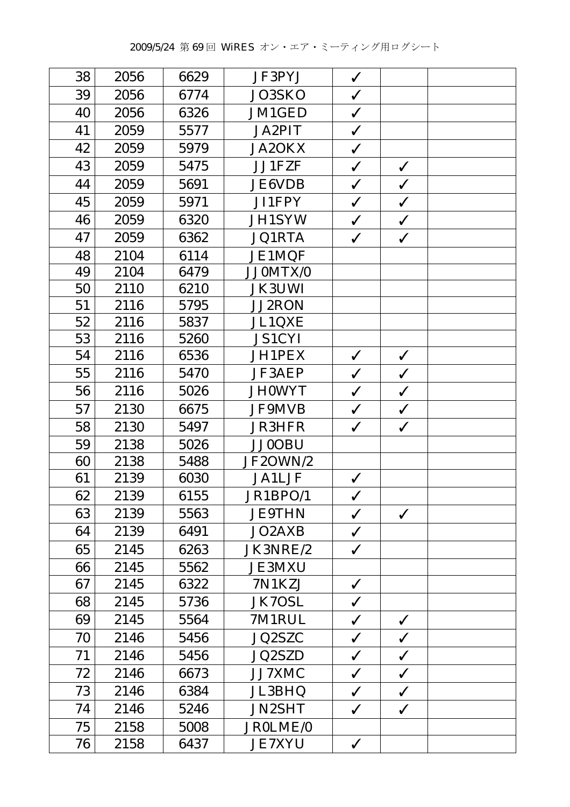| 38 | 2056 | 6629 | JF3PYJ        | $\checkmark$ |              |  |
|----|------|------|---------------|--------------|--------------|--|
| 39 | 2056 | 6774 | JO3SKO        | $\checkmark$ |              |  |
| 40 | 2056 | 6326 | JM1GED        | $\checkmark$ |              |  |
| 41 | 2059 | 5577 | <b>JA2PIT</b> | $\checkmark$ |              |  |
| 42 | 2059 | 5979 | <b>JA2OKX</b> | $\checkmark$ |              |  |
| 43 | 2059 | 5475 | JJ1FZF        | $\checkmark$ | $\checkmark$ |  |
| 44 | 2059 | 5691 | <b>JE6VDB</b> | $\checkmark$ | $\checkmark$ |  |
| 45 | 2059 | 5971 | JI1FPY        | $\checkmark$ | $\checkmark$ |  |
| 46 | 2059 | 6320 | <b>JH1SYW</b> | $\checkmark$ | $\checkmark$ |  |
| 47 | 2059 | 6362 | <b>JQ1RTA</b> | $\checkmark$ | $\checkmark$ |  |
| 48 | 2104 | 6114 | <b>JE1MQF</b> |              |              |  |
| 49 | 2104 | 6479 | JJ0MTX/0      |              |              |  |
| 50 | 2110 | 6210 | <b>JK3UWI</b> |              |              |  |
| 51 | 2116 | 5795 | <b>JJ2RON</b> |              |              |  |
| 52 | 2116 | 5837 | <b>JL1QXE</b> |              |              |  |
| 53 | 2116 | 5260 | <b>JS1CYI</b> |              |              |  |
| 54 | 2116 | 6536 | JH1PEX        | $\checkmark$ | $\checkmark$ |  |
| 55 | 2116 | 5470 | JF3AEP        | $\checkmark$ | $\checkmark$ |  |
| 56 | 2116 | 5026 | <b>JH0WYT</b> | $\checkmark$ | $\checkmark$ |  |
| 57 | 2130 | 6675 | <b>JF9MVB</b> | $\checkmark$ | $\checkmark$ |  |
| 58 | 2130 | 5497 | <b>JR3HFR</b> | $\checkmark$ | $\checkmark$ |  |
| 59 | 2138 | 5026 | <b>JJ0OBU</b> |              |              |  |
| 60 | 2138 | 5488 | JF2OWN/2      |              |              |  |
| 61 | 2139 | 6030 | <b>JA1LJF</b> | $\checkmark$ |              |  |
| 62 | 2139 | 6155 | JR1BPO/1      | $\checkmark$ |              |  |
| 63 | 2139 | 5563 | <b>JE9THN</b> | $\checkmark$ | $\checkmark$ |  |
| 64 | 2139 | 6491 | JO2AXB        | $\checkmark$ |              |  |
| 65 | 2145 | 6263 | JK3NRE/2      | $\checkmark$ |              |  |
| 66 | 2145 | 5562 | <b>JE3MXU</b> |              |              |  |
| 67 | 2145 | 6322 | 7N1KZJ        | $\checkmark$ |              |  |
| 68 | 2145 | 5736 | <b>JK7OSL</b> | $\checkmark$ |              |  |
| 69 | 2145 | 5564 | 7M1RUL        | $\checkmark$ | $\checkmark$ |  |
| 70 | 2146 | 5456 | JQ2SZC        | $\checkmark$ | $\checkmark$ |  |
| 71 | 2146 | 5456 | JQ2SZD        | $\checkmark$ | $\checkmark$ |  |
| 72 | 2146 | 6673 | JJ7XMC        | $\checkmark$ | $\checkmark$ |  |
| 73 | 2146 | 6384 | JL3BHQ        | $\checkmark$ | $\checkmark$ |  |
| 74 | 2146 | 5246 | <b>JN2SHT</b> | $\checkmark$ | $\checkmark$ |  |
| 75 | 2158 | 5008 | JR0LME/0      |              |              |  |
| 76 | 2158 | 6437 | <b>JE7XYU</b> | $\checkmark$ |              |  |